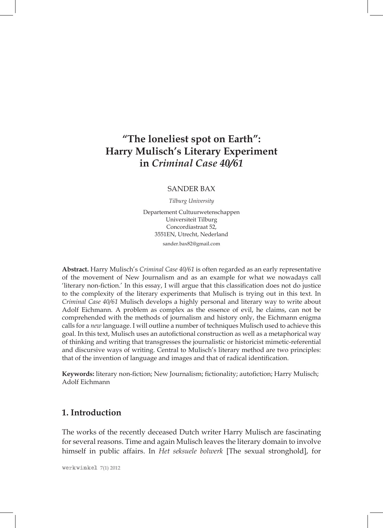# **"The loneliest spot on Earth": Harry Mulisch's Literary Experiment in** *Criminal Case 40/61*

#### SANDER BAX

*Tilburg University*

Departement Cultuurwetenschappen Universiteit Tilburg Concordiastraat 52, 3551EN, Utrecht, Nederland

sander.bax82@gmail.com

**Abstract.** Harry Mulisch's *Criminal Case 40/61* is often regarded as an early representative of the movement of New Journalism and as an example for what we nowadays call 'literary non-fiction.' In this essay, I will argue that this classification does not do justice to the complexity of the literary experiments that Mulisch is trying out in this text. In *Criminal Case 40/61* Mulisch develops a highly personal and literary way to write about Adolf Eichmann. A problem as complex as the essence of evil, he claims, can not be comprehended with the methods of journalism and history only, the Eichmann enigma calls for a *new* language. I will outline a number of techniques Mulisch used to achieve this goal. In this text, Mulisch uses an autofictional construction as well as a metaphorical way of thinking and writing that transgresses the journalistic or historicist mimetic-referential and discursive ways of writing. Central to Mulisch's literary method are two principles: that of the invention of language and images and that of radical identification.

**Keywords:** literary non-fiction; New Journalism; fictionality; autofiction; Harry Mulisch; Adolf Eichmann

# **1. Introduction**

The works of the recently deceased Dutch writer Harry Mulisch are fascinating for several reasons. Time and again Mulisch leaves the literary domain to involve himself in public affairs. In *Het seksuele bolwerk* [The sexual stronghold], for

werkwinkel **7(1) 2012**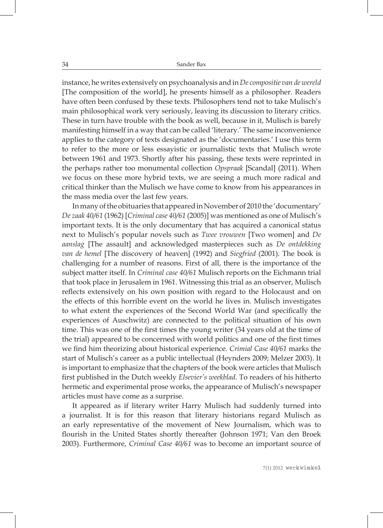34 Sander Bax

instance, he writes extensively on psychoanalysis and in *De compositie van de wereld* [The composition of the world], he presents himself as a philosopher. Readers have often been confused by these texts. Philosophers tend not to take Mulisch's main philosophical work very seriously, leaving its discussion to literary critics. These in turn have trouble with the book as well, because in it, Mulisch is barely manifesting himself in a way that can be called 'literary.' The same inconvenience applies to the category of texts designated as the 'documentaries.' I use this term to refer to the more or less essayistic or journalistic texts that Mulisch wrote between 1961 and 1973. Shortly after his passing, these texts were reprinted in the perhaps rather too monumental collection *Opspraak* [Scandal] (2011). When we focus on these more hybrid texts, we are seeing a much more radical and critical thinker than the Mulisch we have come to know from his appearances in the mass media over the last few years.

In many of the obituaries that appeared in November of 2010 the 'documentary' *De zaak 40/61* (1962) [*Criminal case 40/61* (2005)] was mentioned as one of Mulisch's important texts. It is the only documentary that has acquired a canonical status next to Mulisch's popular novels such as *Twee vrouwen* [Two women] and *De aanslag* [The assault] and acknowledged masterpieces such as *De ontdekking van de hemel* [The discovery of heaven] (1992) and *Siegfried* (2001). The book is challenging for a number of reasons. First of all, there is the importance of the subject matter itself. In *Criminal case 40/61* Mulisch reports on the Eichmann trial that took place in Jerusalem in 1961. Witnessing this trial as an observer, Mulisch reflects extensively on his own position with regard to the Holocaust and on the effects of this horrible event on the world he lives in. Mulisch investigates to what extent the experiences of the Second World War (and specifically the experiences of Auschwitz) are connected to the political situation of his own time. This was one of the first times the young writer (34 years old at the time of the trial) appeared to be concerned with world politics and one of the first times we find him theorizing about historical experience. *Crimial Case 40/61* marks the start of Mulisch's career as a public intellectual (Heynders 2009; Melzer 2003). It is important to emphasize that the chapters of the book were articles that Mulisch first published in the Dutch weekly *Elsevier's weekblad*. To readers of his hitherto hermetic and experimental prose works, the appearance of Mulisch's newspaper articles must have come as a surprise.

It appeared as if literary writer Harry Mulisch had suddenly turned into a journalist. It is for this reason that literary historians regard Mulisch as an early representative of the movement of New Journalism, which was to flourish in the United States shortly thereafter (Johnson 1971; Van den Broek 2003). Furthermore, *Criminal Case 40/61* was to become an important source of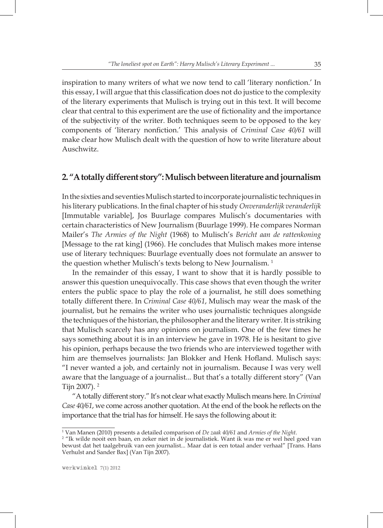inspiration to many writers of what we now tend to call 'literary nonfiction.' In this essay, I will argue that this classification does not do justice to the complexity of the literary experiments that Mulisch is trying out in this text. It will become clear that central to this experiment are the use of fictionality and the importance of the subjectivity of the writer. Both techniques seem to be opposed to the key components of 'literary nonfiction.' This analysis of *Criminal Case 40/61* will make clear how Mulisch dealt with the question of how to write literature about Auschwitz.

#### **2. "A totally different story": Mulisch between literature and journalism**

In the sixties and seventies Mulisch started to incorporate journalistic techniques in his literary publications. In the final chapter of his study *Onveranderlijk veranderlijk*  [Immutable variable], Jos Buurlage compares Mulisch's documentaries with certain characteristics of New Journalism (Buurlage 1999). He compares Norman Mailer's *The Armies of the Night* (1968) to Mulisch's *Bericht aan de rattenkoning* [Message to the rat king] (1966). He concludes that Mulisch makes more intense use of literary techniques: Buurlage eventually does not formulate an answer to the question whether Mulisch's texts belong to New Journalism.<sup>1</sup>

In the remainder of this essay, I want to show that it is hardly possible to answer this question unequivocally. This case shows that even though the writer enters the public space to play the role of a journalist, he still does something totally different there. In *Criminal Case 40/61*, Mulisch may wear the mask of the journalist, but he remains the writer who uses journalistic techniques alongside the techniques of the historian, the philosopher and the literary writer. It is striking that Mulisch scarcely has any opinions on journalism. One of the few times he says something about it is in an interview he gave in 1978. He is hesitant to give his opinion, perhaps because the two friends who are interviewed together with him are themselves journalists: Jan Blokker and Henk Hofland. Mulisch says: "I never wanted a job, and certainly not in journalism. Because I was very well aware that the language of a journalist... But that's a totally different story" (Van Tijn 2007). 2

"A totally different story." It's not clear what exactly Mulisch means here. In *Criminal Case 40/61*, we come across another quotation. At the end of the book he reflects on the importance that the trial has for himself. He says the following about it:

<sup>&</sup>lt;sup>1</sup> Van Manen (2010) presents a detailed comparison of *De zaak 40/61* and *Armies of the Night.*<br><sup>2</sup> "Ik wilde nooit een baan, en zeker niet in de journalistiek. Want ik was me er wel beel c

<sup>&</sup>lt;sup>2</sup> "Ik wilde nooit een baan, en zeker niet in de journalistiek. Want ik was me er wel heel goed van bewust dat het taalgebruik van een journalist... Maar dat is een totaal ander verhaal" [Trans. Hans Verhulst and Sander Bax] (Van Tijn 2007).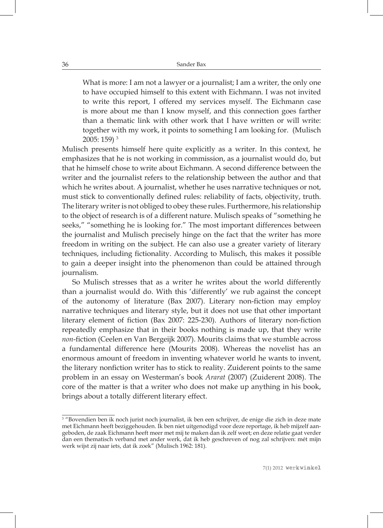What is more: I am not a lawyer or a journalist; I am a writer, the only one to have occupied himself to this extent with Eichmann. I was not invited to write this report, I offered my services myself. The Eichmann case is more about me than I know myself, and this connection goes farther than a thematic link with other work that I have written or will write: together with my work, it points to something I am looking for. (Mulisch 2005: 159) 3

Mulisch presents himself here quite explicitly as a writer. In this context, he emphasizes that he is not working in commission, as a journalist would do, but that he himself chose to write about Eichmann. A second difference between the writer and the journalist refers to the relationship between the author and that which he writes about. A journalist, whether he uses narrative techniques or not, must stick to conventionally defined rules: reliability of facts, objectivity, truth. The literary writer is not obliged to obey these rules. Furthermore, his relationship to the object of research is of a different nature. Mulisch speaks of "something he seeks," "something he is looking for." The most important differences between the journalist and Mulisch precisely hinge on the fact that the writer has more freedom in writing on the subject. He can also use a greater variety of literary techniques, including fictionality. According to Mulisch, this makes it possible to gain a deeper insight into the phenomenon than could be attained through journalism.

So Mulisch stresses that as a writer he writes about the world differently than a journalist would do. With this 'differently' we rub against the concept of the autonomy of literature (Bax 2007). Literary non-fiction may employ narrative techniques and literary style, but it does not use that other important literary element of fiction (Bax 2007: 225-230). Authors of literary non-fiction repeatedly emphasize that in their books nothing is made up, that they write *non*-fiction (Ceelen en Van Bergeijk 2007). Mourits claims that we stumble across a fundamental difference here (Mourits 2008). Whereas the novelist has an enormous amount of freedom in inventing whatever world he wants to invent, the literary nonfiction writer has to stick to reality. Zuiderent points to the same problem in an essay on Westerman's book *Ararat* (2007) (Zuiderent 2008). The core of the matter is that a writer who does not make up anything in his book, brings about a totally different literary effect.

<sup>3</sup> "Bovendien ben ik noch jurist noch journalist, ik ben een schrijver, de enige die zich in deze mate met Eichmann heeft beziggehouden. Ik ben niet uitgenodigd voor deze reportage, ik heb mijzelf aangeboden, de zaak Eichmann heeft meer met mij te maken dan ik zelf weet; en deze relatie gaat verder dan een thematisch verband met ander werk, dat ik heb geschreven of nog zal schrijven: mét mijn werk wijst zij naar iets, dat ik zoek" (Mulisch 1962: 181).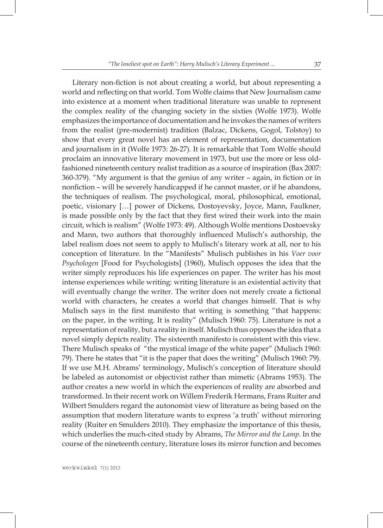Literary non-fiction is not about creating a world, but about representing a world and reflecting on that world. Tom Wolfe claims that New Journalism came into existence at a moment when traditional literature was unable to represent the complex reality of the changing society in the sixties (Wolfe 1973). Wolfe emphasizes the importance of documentation and he invokes the names of writers from the realist (pre-modernist) tradition (Balzac, Dickens, Gogol, Tolstoy) to show that every great novel has an element of representation, documentation and journalism in it (Wolfe 1973: 26-27). It is remarkable that Tom Wolfe should proclaim an innovative literary movement in 1973, but use the more or less oldfashioned nineteenth century realist tradition as a source of inspiration (Bax 2007: 360-379). "My argument is that the genius of any writer – again, in fiction or in nonfiction – will be severely handicapped if he cannot master, or if he abandons, the techniques of realism. The psychological, moral, philosophical, emotional, poetic, visionary […] power of Dickens, Dostoyevsky, Joyce, Mann, Faulkner, is made possible only by the fact that they first wired their work into the main circuit, which is realism" (Wolfe 1973: 49). Although Wolfe mentions Dostoevsky and Mann, two authors that thoroughly influenced Mulisch's authorship, the label realism does not seem to apply to Mulisch's literary work at all, nor to his conception of literature. In the "Manifests" Mulisch publishes in his *Voer voor Psychologen* [Food for Psychologists] (1960), Mulisch opposes the idea that the writer simply reproduces his life experiences on paper. The writer has his most intense experiences while writing: writing literature is an existential activity that will eventually change the writer. The writer does not merely create a fictional world with characters, he creates a world that changes himself. That is why Mulisch says in the first manifesto that writing is something "that happens: on the paper, in the writing. It is reality" (Mulisch 1960: 75). Literature is not a representation of reality, but a reality in itself. Mulisch thus opposes the idea that a novel simply depicts reality. The sixteenth manifesto is consistent with this view. There Mulisch speaks of "the mystical image of the white paper" (Mulisch 1960: 79). There he states that "it is the paper that does the writing" (Mulisch 1960: 79). If we use M.H. Abrams' terminology, Mulisch's conception of literature should be labeled as autonomist or objectivist rather than mimetic (Abrams 1953). The author creates a new world in which the experiences of reality are absorbed and transformed. In their recent work on Willem Frederik Hermans, Frans Ruiter and Wilbert Smulders regard the autonomist view of literature as being based on the assumption that modern literature wants to express 'a truth' without mirroring reality (Ruiter en Smulders 2010). They emphasize the importance of this thesis, which underlies the much-cited study by Abrams, *The Mirror and the Lamp*. In the course of the nineteenth century, literature loses its mirror function and becomes

werkwinkel **7(1) 2012**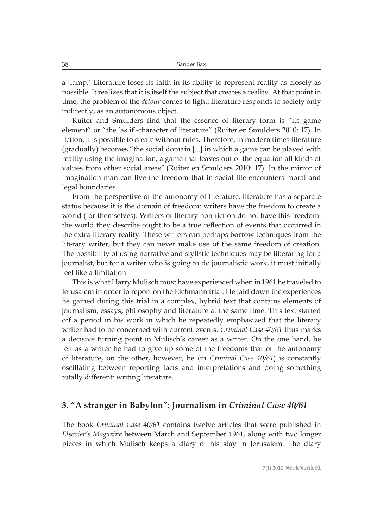a 'lamp.' Literature loses its faith in its ability to represent reality as closely as possible. It realizes that it is itself the subject that creates a reality. At that point in time, the problem of the *detour* comes to light: literature responds to society only indirectly, as an autonomous object.

Ruiter and Smulders find that the essence of literary form is "its game element" or "the 'as if'-character of literature" (Ruiter en Smulders 2010: 17). In fiction, it is possible to create without rules. Therefore, in modern times literature (gradually) becomes "the social domain [...] in which a game can be played with reality using the imagination, a game that leaves out of the equation all kinds of values from other social areas" (Ruiter en Smulders 2010: 17). In the mirror of imagination man can live the freedom that in social life encounters moral and legal boundaries.

From the perspective of the autonomy of literature, literature has a separate status because it is the domain of freedom: writers have the freedom to create a world (for themselves). Writers of literary non-fiction do not have this freedom: the world they describe ought to be a true reflection of events that occurred in the extra-literary reality. These writers can perhaps borrow techniques from the literary writer, but they can never make use of the same freedom of creation. The possibility of using narrative and stylistic techniques may be liberating for a journalist, but for a writer who is going to do journalistic work, it must initially feel like a limitation.

This is what Harry Mulisch must have experienced when in 1961 he traveled to Jerusalem in order to report on the Eichmann trial. He laid down the experiences he gained during this trial in a complex, hybrid text that contains elements of journalism, essays, philosophy and literature at the same time. This text started off a period in his work in which he repeatedly emphasized that the literary writer had to be concerned with current events. *Criminal Case 40/61* thus marks a decisive turning point in Mulisch's career as a writer. On the one hand, he felt as a writer he had to give up some of the freedoms that of the autonomy of literature, on the other, however, he (in *Criminal Case 40/61*) is constantly oscillating between reporting facts and interpretations and doing something totally different: writing literature.

#### **3. "A stranger in Babylon": Journalism in** *Criminal Case 40/61*

The book *Criminal Case 40/61* contains twelve articles that were published in *Elsevier's Magazine* between March and September 1961, along with two longer pieces in which Mulisch keeps a diary of his stay in Jerusalem. The diary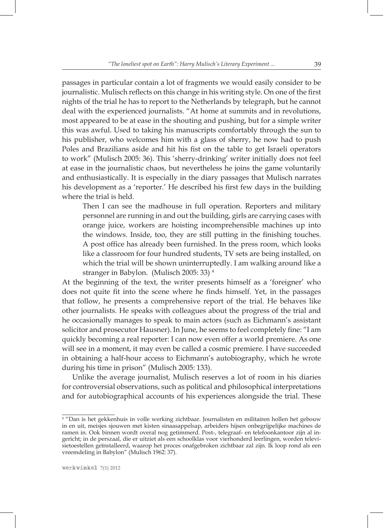passages in particular contain a lot of fragments we would easily consider to be journalistic. Mulisch reflects on this change in his writing style. On one of the first nights of the trial he has to report to the Netherlands by telegraph, but he cannot deal with the experienced journalists. "At home at summits and in revolutions, most appeared to be at ease in the shouting and pushing, but for a simple writer this was awful. Used to taking his manuscripts comfortably through the sun to his publisher, who welcomes him with a glass of sherry, he now had to push Poles and Brazilians aside and hit his fist on the table to get Israeli operators to work" (Mulisch 2005: 36). This 'sherry-drinking' writer initially does not feel at ease in the journalistic chaos, but nevertheless he joins the game voluntarily and enthusiastically. It is especially in the diary passages that Mulisch narrates his development as a 'reporter.' He described his first few days in the building where the trial is held.

Then I can see the madhouse in full operation. Reporters and military personnel are running in and out the building, girls are carrying cases with orange juice, workers are hoisting incomprehensible machines up into the windows. Inside, too, they are still putting in the finishing touches. A post office has already been furnished. In the press room, which looks like a classroom for four hundred students, TV sets are being installed, on which the trial will be shown uninterruptedly. I am walking around like a stranger in Babylon. (Mulisch 2005: 33) 4

At the beginning of the text, the writer presents himself as a 'foreigner' who does not quite fit into the scene where he finds himself. Yet, in the passages that follow, he presents a comprehensive report of the trial. He behaves like other journalists. He speaks with colleagues about the progress of the trial and he occasionally manages to speak to main actors (such as Eichmann's assistant solicitor and prosecutor Hausner). In June, he seems to feel completely fine: "I am quickly becoming a real reporter: I can now even offer a world premiere. As one will see in a moment, it may even be called a cosmic premiere. I have succeeded in obtaining a half-hour access to Eichmann's autobiography, which he wrote during his time in prison" (Mulisch 2005: 133).

Unlike the average journalist, Mulisch reserves a lot of room in his diaries for controversial observations, such as political and philosophical interpretations and for autobiographical accounts of his experiences alongside the trial. These

<sup>4</sup> "Dan is het gekkenhuis in volle werking zichtbaar. Journalisten en militairen hollen het gebouw in en uit, meisjes sjouwen met kisten sinaasappelsap, arbeiders hijsen onbegrijpelijke machines de ramen in. Ook binnen wordt overal nog getimmerd. Post-, telegraaf- en telefoonkantoor zijn al ingericht; in de perszaal, die er uitziet als een schoolklas voor vierhonderd leerlingen, worden televisietoestellen geïnstalleerd, waarop het proces onafgebroken zichtbaar zal zijn. Ik loop rond als een vreemdeling in Babylon" (Mulisch 1962: 37).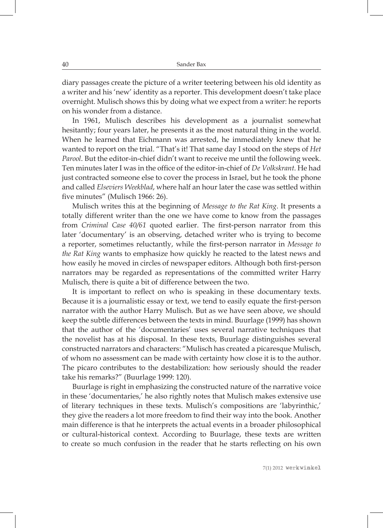diary passages create the picture of a writer teetering between his old identity as a writer and his 'new' identity as a reporter. This development doesn't take place overnight. Mulisch shows this by doing what we expect from a writer: he reports on his wonder from a distance.

In 1961, Mulisch describes his development as a journalist somewhat hesitantly; four years later, he presents it as the most natural thing in the world. When he learned that Eichmann was arrested, he immediately knew that he wanted to report on the trial. "That's it! That same day I stood on the steps of *Het Parool*. But the editor-in-chief didn't want to receive me until the following week. Ten minutes later I was in the office of the editor-in-chief of *De Volkskrant*. He had just contracted someone else to cover the process in Israel, but he took the phone and called *Elseviers Weekblad*, where half an hour later the case was settled within five minutes" (Mulisch 1966: 26).

Mulisch writes this at the beginning of *Message to the Rat King*. It presents a totally different writer than the one we have come to know from the passages from *Criminal Case 40/61* quoted earlier. The first-person narrator from this later 'documentary' is an observing, detached writer who is trying to become a reporter, sometimes reluctantly, while the first-person narrator in *Message to the Rat King* wants to emphasize how quickly he reacted to the latest news and how easily he moved in circles of newspaper editors. Although both first-person narrators may be regarded as representations of the committed writer Harry Mulisch, there is quite a bit of difference between the two.

It is important to reflect on who is speaking in these documentary texts. Because it is a journalistic essay or text, we tend to easily equate the first-person narrator with the author Harry Mulisch. But as we have seen above, we should keep the subtle differences between the texts in mind. Buurlage (1999) has shown that the author of the 'documentaries' uses several narrative techniques that the novelist has at his disposal. In these texts, Buurlage distinguishes several constructed narrators and characters: "Mulisch has created a picaresque Mulisch, of whom no assessment can be made with certainty how close it is to the author. The picaro contributes to the destabilization: how seriously should the reader take his remarks?" (Buurlage 1999: 120).

Buurlage is right in emphasizing the constructed nature of the narrative voice in these 'documentaries,' he also rightly notes that Mulisch makes extensive use of literary techniques in these texts. Mulisch's compositions are 'labyrinthic,' they give the readers a lot more freedom to find their way into the book. Another main difference is that he interprets the actual events in a broader philosophical or cultural-historical context. According to Buurlage, these texts are written to create so much confusion in the reader that he starts reflecting on his own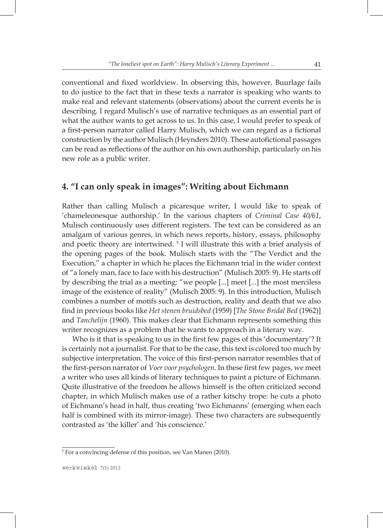conventional and fixed worldview. In observing this, however, Buurlage fails to do justice to the fact that in these texts a narrator is speaking who wants to make real and relevant statements (observations) about the current events he is describing. I regard Mulisch's use of narrative techniques as an essential part of what the author wants to get across to us. In this case, I would prefer to speak of a first-person narrator called Harry Mulisch, which we can regard as a fictional construction by the author Mulisch (Heynders 2010). These autofictional passages can be read as reflections of the author on his own authorship, particularly on his new role as a public writer.

### **4. "I can only speak in images": Writing about Eichmann**

Rather than calling Mulisch a picaresque writer, I would like to speak of 'chameleonesque authorship.' In the various chapters of *Criminal Case 40/61*, Mulisch continuously uses different registers. The text can be considered as an amalgam of various genres, in which news reports, history, essays, philosophy and poetic theory are intertwined. 5 I will illustrate this with a brief analysis of the opening pages of the book. Mulisch starts with the "The Verdict and the Execution," a chapter in which he places the Eichmann trial in the wider context of "a lonely man, face to face with his destruction" (Mulisch 2005: 9). He starts off by describing the trial as a meeting: "we people [...] meet [...] the most merciless image of the existence of reality" (Mulisch 2005: 9). In this introduction, Mulisch combines a number of motifs such as destruction, reality and death that we also find in previous books like *Het stenen bruidsbed* (1959) [*The Stone Bridal Bed* (1962)] and *Tanchelijn* (1960). This makes clear that Eichmann represents something this writer recognizes as a problem that he wants to approach in a literary way.

Who is it that is speaking to us in the first few pages of this 'documentary'? It is certainly not a journalist. For that to be the case, this text is colored too much by subjective interpretation. The voice of this first-person narrator resembles that of the first-person narrator of *Voer voor psychologen*. In these first few pages, we meet a writer who uses all kinds of literary techniques to paint a picture of Eichmann. Quite illustrative of the freedom he allows himself is the often criticized second chapter, in which Mulisch makes use of a rather kitschy trope: he cuts a photo of Eichmann's head in half, thus creating 'two Eichmanns' (emerging when each half is combined with its mirror-image). These two characters are subsequently contrasted as 'the killer' and 'his conscience.'

<sup>5</sup> For a convincing defense of this position, see Van Manen (2010).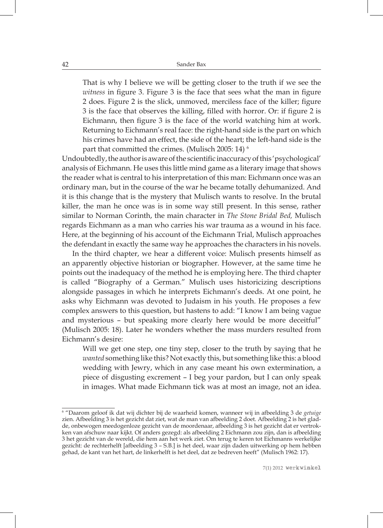That is why I believe we will be getting closer to the truth if we see the *witness* in figure 3. Figure 3 is the face that sees what the man in figure 2 does. Figure 2 is the slick, unmoved, merciless face of the killer; figure 3 is the face that observes the killing, filled with horror. Or: if figure 2 is Eichmann, then figure 3 is the face of the world watching him at work. Returning to Eichmann's real face: the right-hand side is the part on which his crimes have had an effect, the side of the heart; the left-hand side is the part that committed the crimes. (Mulisch 2005: 14)  $^6$ 

Undoubtedly, the author is aware of the scientific inaccuracy of this 'psychological' analysis of Eichmann. He uses this little mind game as a literary image that shows the reader what is central to his interpretation of this man: Eichmann once was an ordinary man, but in the course of the war he became totally dehumanized. And it is this change that is the mystery that Mulisch wants to resolve. In the brutal killer, the man he once was is in some way still present. In this sense, rather similar to Norman Corinth, the main character in *The Stone Bridal Bed,* Mulisch regards Eichmann as a man who carries his war trauma as a wound in his face. Here, at the beginning of his account of the Eichmann Trial, Mulisch approaches the defendant in exactly the same way he approaches the characters in his novels.

In the third chapter, we hear a different voice: Mulisch presents himself as an apparently objective historian or biographer. However, at the same time he points out the inadequacy of the method he is employing here. The third chapter is called "Biography of a German." Mulisch uses historicizing descriptions alongside passages in which he interprets Eichmann's deeds. At one point, he asks why Eichmann was devoted to Judaism in his youth. He proposes a few complex answers to this question, but hastens to add: "I know I am being vague and mysterious – but speaking more clearly here would be more deceitful" (Mulisch 2005: 18). Later he wonders whether the mass murders resulted from Eichmann's desire:

Will we get one step, one tiny step, closer to the truth by saying that he *wanted* something like this? Not exactly this, but something like this: a blood wedding with Jewry, which in any case meant his own extermination, a piece of disgusting excrement – I beg your pardon, but I can only speak in images. What made Eichmann tick was at most an image, not an idea.

<sup>6</sup> "Daarom geloof ik dat wij dichter bij de waarheid komen, wanneer wij in afbeelding 3 de *getuige* zien. Afbeelding 3 is het gezicht dat ziet, wat de man van afbeelding 2 doet. Afbeelding 2 is het gladde, onbewogen meedogenloze gezicht van de moordenaar, afbeelding 3 is het gezicht dat er vertrokken van afschuw naar kijkt. Of anders gezegd: als afbeelding 2 Eichmann zou zijn, dan is afbeelding 3 het gezicht van de wereld, die hem aan het werk ziet. Om terug te keren tot Eichmanns werkelijke gezicht: de rechterhelft [afbeelding 3 – S.B.] is het deel, waar zijn daden uitwerking op hem hebben gehad, de kant van het hart, de linkerhelft is het deel, dat ze bedreven heeft" (Mulisch 1962: 17).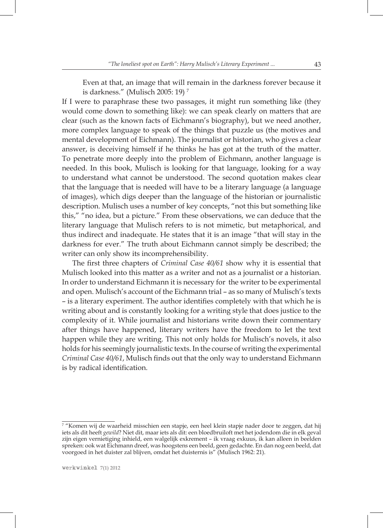Even at that, an image that will remain in the darkness forever because it is darkness." (Mulisch 2005: 19) 7

If I were to paraphrase these two passages, it might run something like (they would come down to something like): we can speak clearly on matters that are clear (such as the known facts of Eichmann's biography), but we need another, more complex language to speak of the things that puzzle us (the motives and mental development of Eichmann). The journalist or historian, who gives a clear answer, is deceiving himself if he thinks he has got at the truth of the matter. To penetrate more deeply into the problem of Eichmann, another language is needed. In this book, Mulisch is looking for that language, looking for a way to understand what cannot be understood. The second quotation makes clear that the language that is needed will have to be a literary language (a language of images), which digs deeper than the language of the historian or journalistic description. Mulisch uses a number of key concepts, "not this but something like this," "no idea, but a picture." From these observations, we can deduce that the literary language that Mulisch refers to is not mimetic, but metaphorical, and thus indirect and inadequate. He states that it is an image "that will stay in the darkness for ever." The truth about Eichmann cannot simply be described; the writer can only show its incomprehensibility.

The first three chapters of *Criminal Case 40/61* show why it is essential that Mulisch looked into this matter as a writer and not as a journalist or a historian. In order to understand Eichmann it is necessary for the writer to be experimental and open. Mulisch's account of the Eichmann trial – as so many of Mulisch's texts – is a literary experiment. The author identifies completely with that which he is writing about and is constantly looking for a writing style that does justice to the complexity of it. While journalist and historians write down their commentary after things have happened, literary writers have the freedom to let the text happen while they are writing. This not only holds for Mulisch's novels, it also holds for his seemingly journalistic texts. In the course of writing the experimental *Criminal Case 40/61*, Mulisch finds out that the only way to understand Eichmann is by radical identification.

<sup>7</sup> "Komen wij de waarheid misschien een stapje, een heel klein stapje nader door te zeggen, dat hij iets als dit heeft *gewild*? Niet dit, maar iets als dit: een bloedbruiloft met het jodendom die in elk geval zijn eigen vernietiging inhield, een walgelijk exkrement - ik vraag exkuus, ik kan alleen in beelden spreken: ook wat Eichmann dreef, was hoogstens een beeld, geen gedachte. En dan nog een beeld, dat voorgoed in het duister zal blijven, omdat het duisternis is" (Mulisch 1962: 21).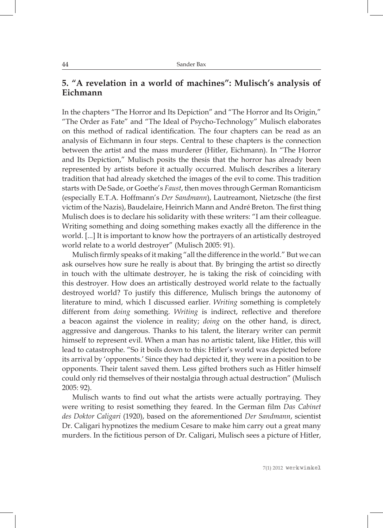### **5. "A revelation in a world of machines": Mulisch's analysis of Eichmann**

In the chapters "The Horror and Its Depiction" and "The Horror and Its Origin," "The Order as Fate" and "The Ideal of Psycho-Technology" Mulisch elaborates on this method of radical identification. The four chapters can be read as an analysis of Eichmann in four steps. Central to these chapters is the connection between the artist and the mass murderer (Hitler, Eichmann). In "The Horror and Its Depiction," Mulisch posits the thesis that the horror has already been represented by artists before it actually occurred. Mulisch describes a literary tradition that had already sketched the images of the evil to come. This tradition starts with De Sade, or Goethe's *Faust*, then moves through German Romanticism (especially E.T.A. Hoffmann's *Der Sandmann*), Lautreamont, Nietzsche (the first victim of the Nazis), Baudelaire, Heinrich Mann and André Breton. The first thing Mulisch does is to declare his solidarity with these writers: "I am their colleague. Writing something and doing something makes exactly all the difference in the world. [...] It is important to know how the portrayers of an artistically destroyed world relate to a world destroyer" (Mulisch 2005: 91).

Mulisch firmly speaks of it making "all the difference in the world." But we can ask ourselves how sure he really is about that. By bringing the artist so directly in touch with the ultimate destroyer, he is taking the risk of coinciding with this destroyer. How does an artistically destroyed world relate to the factually destroyed world? To justify this difference, Mulisch brings the autonomy of literature to mind, which I discussed earlier. *Writing* something is completely different from *doing* something. *Writing* is indirect, reflective and therefore a beacon against the violence in reality; *doing* on the other hand, is direct, aggressive and dangerous. Thanks to his talent, the literary writer can permit himself to represent evil. When a man has no artistic talent, like Hitler, this will lead to catastrophe. "So it boils down to this: Hitler's world was depicted before its arrival by 'opponents.' Since they had depicted it, they were in a position to be opponents. Their talent saved them. Less gifted brothers such as Hitler himself could only rid themselves of their nostalgia through actual destruction" (Mulisch 2005: 92).

Mulisch wants to find out what the artists were actually portraying. They were writing to resist something they feared. In the German film *Das Cabinet des Doktor Caligari* (1920), based on the aforementioned *Der Sandmann*, scientist Dr. Caligari hypnotizes the medium Cesare to make him carry out a great many murders. In the fictitious person of Dr. Caligari, Mulisch sees a picture of Hitler,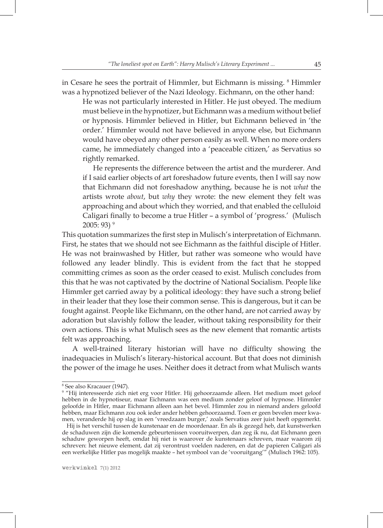in Cesare he sees the portrait of Himmler, but Eichmann is missing. <sup>8</sup> Himmler was a hypnotized believer of the Nazi Ideology. Eichmann, on the other hand:

He was not particularly interested in Hitler. He just obeyed. The medium must believe in the hypnotizer, but Eichmann was a medium without belief or hypnosis. Himmler believed in Hitler, but Eichmann believed in 'the order.' Himmler would not have believed in anyone else, but Eichmann would have obeyed any other person easily as well. When no more orders came, he immediately changed into a 'peaceable citizen,' as Servatius so rightly remarked.

He represents the difference between the artist and the murderer. And if I said earlier objects of art foreshadow future events, then I will say now that Eichmann did not foreshadow anything, because he is not *what* the artists wrote *about*, but *why* they wrote: the new element they felt was approaching and about which they worried, and that enabled the celluloid Caligari finally to become a true Hitler – a symbol of 'progress.' (Mulisch  $2005:93$ <sup>9</sup>

This quotation summarizes the first step in Mulisch's interpretation of Eichmann. First, he states that we should not see Eichmann as the faithful disciple of Hitler. He was not brainwashed by Hitler, but rather was someone who would have followed any leader blindly. This is evident from the fact that he stopped committing crimes as soon as the order ceased to exist. Mulisch concludes from this that he was not captivated by the doctrine of National Socialism. People like Himmler get carried away by a political ideology: they have such a strong belief in their leader that they lose their common sense. This is dangerous, but it can be fought against. People like Eichmann, on the other hand, are not carried away by adoration but slavishly follow the leader, without taking responsibility for their own actions. This is what Mulisch sees as the new element that romantic artists felt was approaching.

A well-trained literary historian will have no difficulty showing the inadequacies in Mulisch's literary-historical account. But that does not diminish the power of the image he uses. Neither does it detract from what Mulisch wants

<sup>8</sup> See also Kracauer (1947).

<sup>9</sup> "Hij interesseerde zich niet erg voor Hitler. Hij gehoorzaamde alleen. Het medium moet geloof hebben in de hypnotiseur, maar Eichmann was een medium zonder geloof of hypnose. Himmler geloofde in Hitler, maar Eichmann alleen aan het bevel. Himmler zou in niemand anders geloofd hebben, maar Eichmann zou ook ieder ander hebben gehoorzaamd. Toen er geen bevelen meer kwamen, veranderde hij op slag in een 'vreedzaam burger,' zoals Servatius zeer juist heeft opgemerkt.

Hij is het verschil tussen de kunstenaar en de moordenaar. En als ik gezegd heb, dat kunstwerken de schaduwen zijn die komende gebeurtenissen vooruitwerpen, dan zeg ik nu, dat Eichmann geen schaduw geworpen heeft, omdat hij niet is waarover de kunstenaars schreven, maar waarom zij schreven: het nieuwe element, dat zij verontrust voelden naderen, en dat de papieren Caligari als een werkelijke Hitler pas mogelijk maakte – het symbool van de 'vooruitgang'" (Mulisch 1962: 105).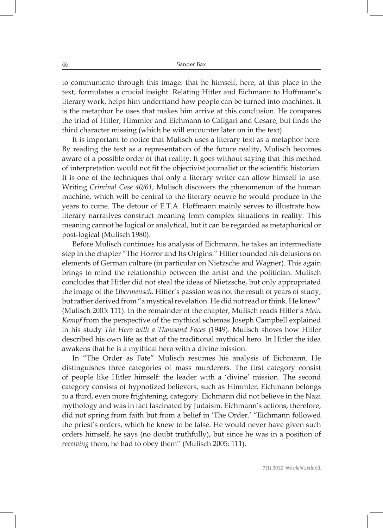to communicate through this image: that he himself, here, at this place in the text, formulates a crucial insight. Relating Hitler and Eichmann to Hoffmann's literary work, helps him understand how people can be turned into machines. It is the metaphor he uses that makes him arrive at this conclusion. He compares the triad of Hitler, Himmler and Eichmann to Caligari and Cesare, but finds the third character missing (which he will encounter later on in the text).

It is important to notice that Mulisch uses a literary text as a metaphor here. By reading the text as a representation of the future reality, Mulisch becomes aware of a possible order of that reality. It goes without saying that this method of interpretation would not fit the objectivist journalist or the scientific historian. It is one of the techniques that only a literary writer can allow himself to use. Writing *Criminal Case 40/61*, Mulisch discovers the phenomenon of the human machine, which will be central to the literary oeuvre he would produce in the years to come. The detour of E.T.A. Hoffmann mainly serves to illustrate how literary narratives construct meaning from complex situations in reality. This meaning cannot be logical or analytical, but it can be regarded as metaphorical or post-logical (Mulisch 1980).

Before Mulisch continues his analysis of Eichmann, he takes an intermediate step in the chapter "The Horror and Its Origins." Hitler founded his delusions on elements of German culture (in particular on Nietzsche and Wagner). This again brings to mind the relationship between the artist and the politician. Mulisch concludes that Hitler did not steal the ideas of Nietzsche, but only appropriated the image of the *Übermensch*. Hitler's passion was not the result of years of study, but rather derived from "a mystical revelation. He did not read or think. He knew" (Mulisch 2005: 111). In the remainder of the chapter, Mulisch reads Hitler's *Mein Kampf* from the perspective of the mythical schemas Joseph Campbell explained in his study *The Hero with a Thousand Faces* (1949). Mulisch shows how Hitler described his own life as that of the traditional mythical hero. In Hitler the idea awakens that he is a mythical hero with a divine mission.

In "The Order as Fate" Mulisch resumes his analysis of Eichmann. He distinguishes three categories of mass murderers. The first category consist of people like Hitler himself: the leader with a 'divine' mission. The second category consists of hypnotized believers, such as Himmler. Eichmann belongs to a third, even more frightening, category. Eichmann did not believe in the Nazi mythology and was in fact fascinated by Judaism. Eichmann's actions, therefore, did not spring from faith but from a belief in 'The Order.' "Eichmann followed the priest's orders, which he knew to be false. He would never have given such orders himself, he says (no doubt truthfully), but since he was in a position of *receiving* them, he had to obey them" (Mulisch 2005: 111).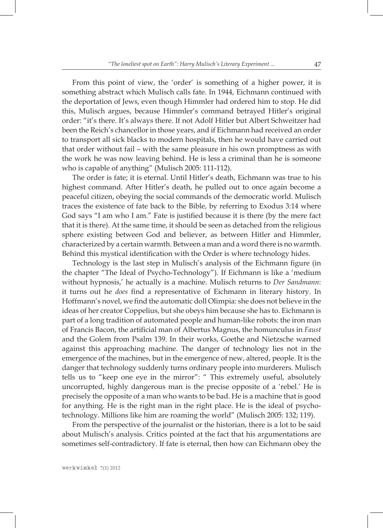From this point of view, the 'order' is something of a higher power, it is something abstract which Mulisch calls fate. In 1944, Eichmann continued with the deportation of Jews, even though Himmler had ordered him to stop. He did this, Mulisch argues, because Himmler's command betrayed Hitler's original order: "it's there. It's always there. If not Adolf Hitler but Albert Schweitzer had been the Reich's chancellor in those years, and if Eichmann had received an order to transport all sick blacks to modern hospitals, then he would have carried out that order without fail – with the same pleasure in his own promptness as with the work he was now leaving behind. He is less a criminal than he is someone who is capable of anything" (Mulisch 2005: 111-112).

The order is fate; it is eternal. Until Hitler's death, Eichmann was true to his highest command. After Hitler's death, he pulled out to once again become a peaceful citizen, obeying the social commands of the democratic world. Mulisch traces the existence of fate back to the Bible, by referring to Exodus 3:14 where God says "I am who I am." Fate is justified because it is there (by the mere fact that it is there). At the same time, it should be seen as detached from the religious sphere existing between God and believer, as between Hitler and Himmler, characterized by a certain warmth. Between a man and a word there is no warmth. Behind this mystical identification with the Order is where technology hides.

Technology is the last step in Mulisch's analysis of the Eichmann figure (in the chapter "The Ideal of Psycho-Technology"). If Eichmann is like a 'medium without hypnosis,' he actually is a machine. Mulisch returns to *Der Sandmann*: it turns out he *does* find a representative of Eichmann in literary history. In Hoffmann's novel, we find the automatic doll Olimpia: she does not believe in the ideas of her creator Coppelius, but she obeys him because she has to. Eichmann is part of a long tradition of automated people and human-like robots: the iron man of Francis Bacon, the artificial man of Albertus Magnus, the homunculus in *Faust* and the Golem from Psalm 139. In their works, Goethe and Nietzsche warned against this approaching machine. The danger of technology lies not in the emergence of the machines, but in the emergence of new, altered, people. It is the danger that technology suddenly turns ordinary people into murderers. Mulisch tells us to "keep one eye in the mirror": " This extremely useful, absolutely uncorrupted, highly dangerous man is the precise opposite of a 'rebel.' He is precisely the opposite of a man who wants to be bad. He is a machine that is good for anything. He is the right man in the right place. He is the ideal of psychotechnology. Millions like him are roaming the world" (Mulisch 2005: 132; 119).

From the perspective of the journalist or the historian, there is a lot to be said about Mulisch's analysis. Critics pointed at the fact that his argumentations are sometimes self-contradictory. If fate is eternal, then how can Eichmann obey the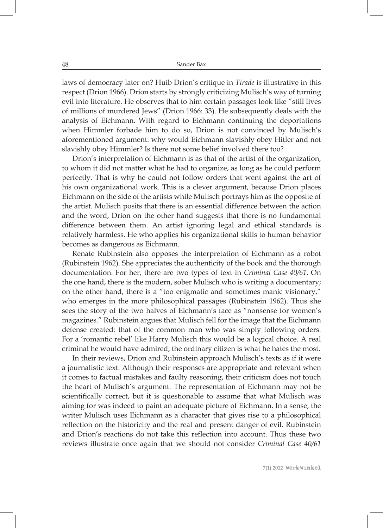laws of democracy later on? Huib Drion's critique in *Tirade* is illustrative in this respect (Drion 1966). Drion starts by strongly criticizing Mulisch's way of turning evil into literature. He observes that to him certain passages look like "still lives of millions of murdered Jews" (Drion 1966: 33). He subsequently deals with the analysis of Eichmann. With regard to Eichmann continuing the deportations when Himmler forbade him to do so, Drion is not convinced by Mulisch's aforementioned argument: why would Eichmann slavishly obey Hitler and not slavishly obey Himmler? Is there not some belief involved there too?

Drion's interpretation of Eichmann is as that of the artist of the organization, to whom it did not matter what he had to organize, as long as he could perform perfectly. That is why he could not follow orders that went against the art of his own organizational work. This is a clever argument, because Drion places Eichmann on the side of the artists while Mulisch portrays him as the opposite of the artist. Mulisch posits that there is an essential difference between the action and the word, Drion on the other hand suggests that there is no fundamental difference between them. An artist ignoring legal and ethical standards is relatively harmless. He who applies his organizational skills to human behavior becomes as dangerous as Eichmann.

Renate Rubinstein also opposes the interpretation of Eichmann as a robot (Rubinstein 1962). She appreciates the authenticity of the book and the thorough documentation. For her, there are two types of text in *Criminal Case 40/61*. On the one hand, there is the modern, sober Mulisch who is writing a documentary; on the other hand, there is a "too enigmatic and sometimes manic visionary," who emerges in the more philosophical passages (Rubinstein 1962). Thus she sees the story of the two halves of Eichmann's face as "nonsense for women's magazines." Rubinstein argues that Mulisch fell for the image that the Eichmann defense created: that of the common man who was simply following orders. For a 'romantic rebel' like Harry Mulisch this would be a logical choice. A real criminal he would have admired, the ordinary citizen is what he hates the most.

In their reviews, Drion and Rubinstein approach Mulisch's texts as if it were a journalistic text. Although their responses are appropriate and relevant when it comes to factual mistakes and faulty reasoning, their criticism does not touch the heart of Mulisch's argument. The representation of Eichmann may not be scientifically correct, but it is questionable to assume that what Mulisch was aiming for was indeed to paint an adequate picture of Eichmann. In a sense, the writer Mulisch uses Eichmann as a character that gives rise to a philosophical reflection on the historicity and the real and present danger of evil. Rubinstein and Drion's reactions do not take this reflection into account. Thus these two reviews illustrate once again that we should not consider *Criminal Case 40/61*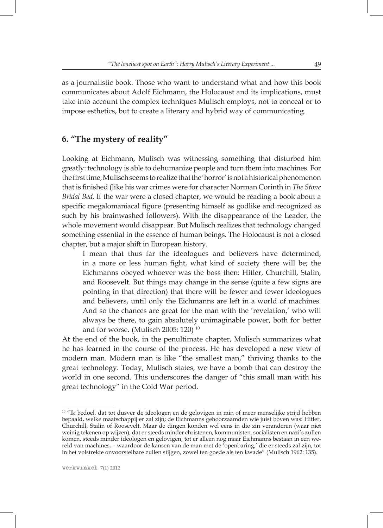as a journalistic book. Those who want to understand what and how this book communicates about Adolf Eichmann, the Holocaust and its implications, must take into account the complex techniques Mulisch employs, not to conceal or to impose esthetics, but to create a literary and hybrid way of communicating.

# **6. "The mystery of reality"**

Looking at Eichmann, Mulisch was witnessing something that disturbed him greatly: technology is able to dehumanize people and turn them into machines. For the first time, Mulisch seems to realize that the 'horror' is not a historical phenomenon that is finished (like his war crimes were for character Norman Corinth in *The Stone Bridal Bed*. If the war were a closed chapter, we would be reading a book about a specific megalomaniacal figure (presenting himself as godlike and recognized as such by his brainwashed followers). With the disappearance of the Leader, the whole movement would disappear. But Mulisch realizes that technology changed something essential in the essence of human beings. The Holocaust is not a closed chapter, but a major shift in European history.

I mean that thus far the ideologues and believers have determined, in a more or less human fight, what kind of society there will be; the Eichmanns obeyed whoever was the boss then: Hitler, Churchill, Stalin, and Roosevelt. But things may change in the sense (quite a few signs are pointing in that direction) that there will be fewer and fewer ideologues and believers, until only the Eichmanns are left in a world of machines. And so the chances are great for the man with the 'revelation,' who will always be there, to gain absolutely unimaginable power, both for better and for worse. (Mulisch 2005: 120) 10

At the end of the book, in the penultimate chapter, Mulisch summarizes what he has learned in the course of the process. He has developed a new view of modern man. Modern man is like "the smallest man," thriving thanks to the great technology. Today, Mulisch states, we have a bomb that can destroy the world in one second. This underscores the danger of "this small man with his great technology" in the Cold War period.

<sup>&</sup>lt;sup>10</sup> "Ik bedoel, dat tot dusver de ideologen en de gelovigen in min of meer menselijke strijd hebben bepaald, welke maatschappij er zal zijn; de Eichmanns gehoorzaamden wie juist boven was: Hitler, Churchill, Stalin of Roosevelt. Maar de dingen konden wel eens in die zin veranderen (waar niet weinig tekenen op wijzen), dat er steeds minder christenen, kommunisten, socialisten en nazi's zullen komen, steeds minder ideologen en gelovigen, tot er alleen nog maar Eichmanns bestaan in een wereld van machines, – waardoor de kansen van de man met de 'openbaring,' die er steeds zal zijn, tot in het volstrekte onvoorstelbare zullen stijgen, zowel ten goede als ten kwade" (Mulisch 1962: 135).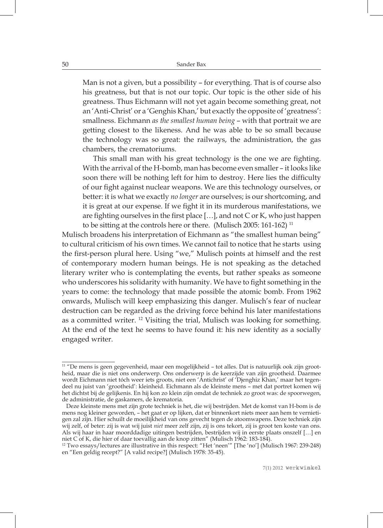Man is not a given, but a possibility – for everything. That is of course also his greatness, but that is not our topic. Our topic is the other side of his greatness. Thus Eichmann will not yet again become something great, not an 'Anti-Christ' or a 'Genghis Khan,' but exactly the opposite of 'greatness': smallness. Eichmann *as the smallest human being* – with that portrait we are getting closest to the likeness. And he was able to be so small because the technology was so great: the railways, the administration, the gas chambers, the crematoriums.

This small man with his great technology is the one we are fighting. With the arrival of the H-bomb, man has become even smaller – it looks like soon there will be nothing left for him to destroy. Here lies the difficulty of our fight against nuclear weapons. We are this technology ourselves, or better: it is what we exactly *no longer* are ourselves; is our shortcoming, and it is great at our expense. If we fight it in its murderous manifestations, we are fighting ourselves in the first place […], and not C or K, who just happen to be sitting at the controls here or there. (Mulisch 2005: 161-162) 11

Mulisch broadens his interpretation of Eichmann as "the smallest human being" to cultural criticism of his own times. We cannot fail to notice that he starts using the first-person plural here. Using "we," Mulisch points at himself and the rest of contemporary modern human beings. He is not speaking as the detached literary writer who is contemplating the events, but rather speaks as someone who underscores his solidarity with humanity. We have to fight something in the years to come: the technology that made possible the atomic bomb. From 1962 onwards, Mulisch will keep emphasizing this danger. Mulisch's fear of nuclear destruction can be regarded as the driving force behind his later manifestations as a committed writer. 12 Visiting the trial, Mulisch was looking for something. At the end of the text he seems to have found it: his new identity as a socially engaged writer.

<sup>&</sup>lt;sup>11</sup> "De mens is geen gegevenheid, maar een mogelijkheid – tot alles. Dat is natuurlijk ook zijn grootheid, maar die is niet ons onderwerp. Ons onderwerp is de keerzijde van zijn grootheid. Daarmee wordt Eichmann niet tóch weer iets groots, niet een 'Antichrist' of 'Djenghiz Khan,' maar het tegendeel nu juist van 'grootheid': kleinheid. Eichmann als de kleinste mens – met dat portret komen wij het dichtst bij de gelijkenis. En hij kon zo klein zijn omdat de techniek zo groot was: de spoorwegen, de administratie, de gaskamers, de krematoria.

Deze kleinste mens met zijn grote techniek is het, die wij bestrijden. Met de komst van H-bom is de mens nog kleiner geworden, – het gaat er op lijken, dat er binnenkort niets meer aan hem te vernietigen zal zijn. Hier schuilt de moeilijkheid van ons gevecht tegen de atoomwapens. Deze techniek zijn wij zelf, of beter: zij is wat wij juist *niet* meer zelf zijn, zij is ons tekort, zij is groot ten koste van ons. Als wij haar in haar moorddadige uitingen bestrijden, bestrijden wij in eerste plaats onszelf […] en niet C of K, die hier of daar toevallig aan de knop zitten" (Mulisch 1962: 183-184).

<sup>&</sup>lt;sup>12</sup> Two essays/lectures are illustrative in this respect: "Het 'neen'" [The 'no'] (Mulisch 1967: 239-248) en "Een geldig recept?" [A valid recipe?] (Mulisch 1978: 35-45).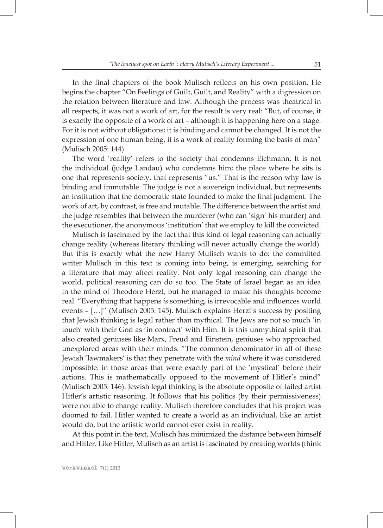In the final chapters of the book Mulisch reflects on his own position. He begins the chapter "On Feelings of Guilt, Guilt, and Reality" with a digression on the relation between literature and law. Although the process was theatrical in all respects, it was not a work of art, for the result is very real: "But, of course, it is exactly the opposite of a work of art – although it is happening here on a stage. For it is not without obligations; it is binding and cannot be changed. It is not the expression of one human being, it is a work of reality forming the basis of man" (Mulisch 2005: 144).

The word 'reality' refers to the society that condemns Eichmann. It is not the individual (judge Landau) who condemns him; the place where he sits is one that represents society, that represents "us." That is the reason why law is binding and immutable. The judge is not a sovereign individual, but represents an institution that the democratic state founded to make the final judgment. The work of art, by contrast, is free and mutable. The difference between the artist and the judge resembles that between the murderer (who can 'sign' his murder) and the executioner, the anonymous 'institution' that we employ to kill the convicted.

Mulisch is fascinated by the fact that this kind of legal reasoning can actually change reality (whereas literary thinking will never actually change the world). But this is exactly what the new Harry Mulisch wants to do: the committed writer Mulisch in this text is coming into being, is emerging, searching for a literature that may affect reality. Not only legal reasoning can change the world, political reasoning can do so too. The State of Israel began as an idea in the mind of Theodore Herzl, but he managed to make his thoughts become real. "Everything that happens *is* something, is irrevocable and influences world events – […]" (Mulisch 2005: 145). Mulisch explains Herzl's success by positing that Jewish thinking is legal rather than mythical. The Jews are not so much 'in touch' with their God as 'in contract' with Him. It is this unmythical spirit that also created geniuses like Marx, Freud and Einstein, geniuses who approached unexplored areas with their minds. "The common denominator in all of these Jewish 'lawmakers' is that they penetrate with the *mind* where it was considered impossible: in those areas that were exactly part of the 'mystical' before their actions. This is mathematically opposed to the movement of Hitler's mind" (Mulisch 2005: 146). Jewish legal thinking is the absolute opposite of failed artist Hitler's artistic reasoning. It follows that his politics (by their permissiveness) were not able to change reality. Mulisch therefore concludes that his project was doomed to fail. Hitler wanted to create a world as an individual, like an artist would do, but the artistic world cannot ever exist in reality.

At this point in the text, Mulisch has minimized the distance between himself and Hitler. Like Hitler, Mulisch as an artist is fascinated by creating worlds (think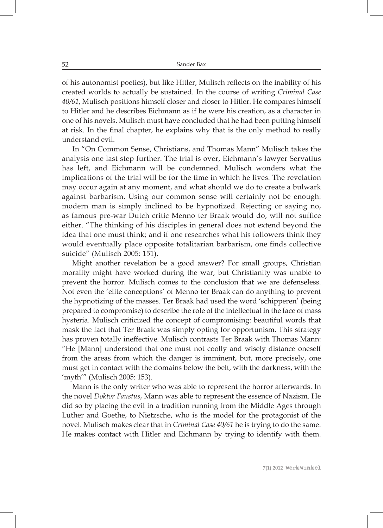of his autonomist poetics), but like Hitler, Mulisch reflects on the inability of his created worlds to actually be sustained. In the course of writing *Criminal Case 40/61*, Mulisch positions himself closer and closer to Hitler. He compares himself to Hitler and he describes Eichmann as if he were his creation, as a character in one of his novels. Mulisch must have concluded that he had been putting himself at risk. In the final chapter, he explains why that is the only method to really understand evil.

In "On Common Sense, Christians, and Thomas Mann" Mulisch takes the analysis one last step further. The trial is over, Eichmann's lawyer Servatius has left, and Eichmann will be condemned. Mulisch wonders what the implications of the trial will be for the time in which he lives. The revelation may occur again at any moment, and what should we do to create a bulwark against barbarism. Using our common sense will certainly not be enough: modern man is simply inclined to be hypnotized. Rejecting or saying no, as famous pre-war Dutch critic Menno ter Braak would do, will not suffice either. "The thinking of his disciples in general does not extend beyond the idea that one must think; and if one researches what his followers think they would eventually place opposite totalitarian barbarism, one finds collective suicide" (Mulisch 2005: 151).

Might another revelation be a good answer? For small groups, Christian morality might have worked during the war, but Christianity was unable to prevent the horror. Mulisch comes to the conclusion that we are defenseless. Not even the 'elite conceptions' of Menno ter Braak can do anything to prevent the hypnotizing of the masses. Ter Braak had used the word 'schipperen' (being prepared to compromise) to describe the role of the intellectual in the face of mass hysteria. Mulisch criticized the concept of compromising: beautiful words that mask the fact that Ter Braak was simply opting for opportunism. This strategy has proven totally ineffective. Mulisch contrasts Ter Braak with Thomas Mann: "He [Mann] understood that one must not coolly and wisely distance oneself from the areas from which the danger is imminent, but, more precisely, one must get in contact with the domains below the belt, with the darkness, with the 'myth'" (Mulisch 2005: 153).

Mann is the only writer who was able to represent the horror afterwards. In the novel *Doktor Faustus*, Mann was able to represent the essence of Nazism. He did so by placing the evil in a tradition running from the Middle Ages through Luther and Goethe, to Nietzsche, who is the model for the protagonist of the novel. Mulisch makes clear that in *Criminal Case 40/61* he is trying to do the same. He makes contact with Hitler and Eichmann by trying to identify with them.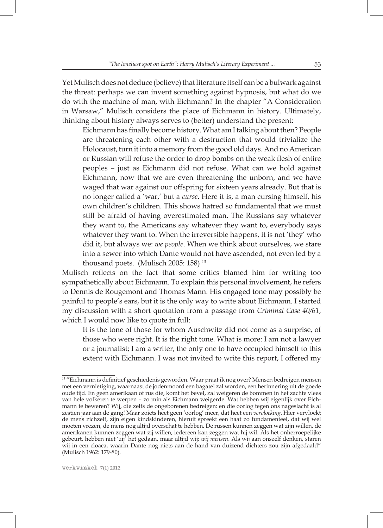Yet Mulisch does not deduce (believe) that literature itself can be a bulwark against the threat: perhaps we can invent something against hypnosis, but what do we do with the machine of man, with Eichmann? In the chapter "A Consideration in Warsaw," Mulisch considers the place of Eichmann in history. Ultimately, thinking about history always serves to (better) understand the present:

Eichmann has finally become history. What am I talking about then? People are threatening each other with a destruction that would trivialize the Holocaust, turn it into a memory from the good old days. And no American or Russian will refuse the order to drop bombs on the weak flesh of entire peoples – just as Eichmann did not refuse. What can we hold against Eichmann, now that we are even threatening the unborn, and we have waged that war against our offspring for sixteen years already. But that is no longer called a 'war,' but a *curse*. Here it is, a man cursing himself, his own children's children. This shows hatred so fundamental that we must still be afraid of having overestimated man. The Russians say whatever they want to, the Americans say whatever they want to, everybody says whatever they want to. When the irreversible happens, it is not 'they' who did it, but always we: *we people*. When we think about ourselves, we stare into a sewer into which Dante would not have ascended, not even led by a thousand poets. (Mulisch 2005: 158) 13

Mulisch reflects on the fact that some critics blamed him for writing too sympathetically about Eichmann. To explain this personal involvement, he refers to Dennis de Rougemont and Thomas Mann. His engaged tone may possibly be painful to people's ears, but it is the only way to write about Eichmann. I started my discussion with a short quotation from a passage from *Criminal Case 40/61*, which I would now like to quote in full:

It is the tone of those for whom Auschwitz did not come as a surprise, of those who were right. It is the right tone. What is more: I am not a lawyer or a journalist; I am a writer, the only one to have occupied himself to this extent with Eichmann. I was not invited to write this report, I offered my

<sup>&</sup>lt;sup>13</sup> "Eichmann is definitief geschiedenis geworden. Waar praat ik nog over? Mensen bedreigen mensen met een vernietiging, waarnaast de jodenmoord een bagatel zal worden, een herinnering uit de goede oude tijd. En geen amerikaan of rus die, komt het bevel, zal weigeren de bommen in het zachte vlees van hele volkeren te werpen – zo min als Eichmann weigerde. Wat hebben wij eigenlijk over Eichmann te beweren? Wij, die zelfs de ongeborenen bedreigen: en die oorlog tegen ons nageslacht is al zestien jaar aan de gang! Maar zoiets heet geen 'oorlog' meer, dat heet een *vervloeking*. Hier vervloekt de mens zichzelf, zijn eigen kindskinderen, hieruit spreekt een haat zo fundamenteel, dat wij wel moeten vrezen, de mens nog altijd overschat te hebben. De russen kunnen zeggen wat zijn willen, de amerikanen kunnen zeggen wat zij willen, iedereen kan zeggen wat hij wil. Als het onherroepelijke gebeurt, hebben niet 'zij' het gedaan, maar altijd wij: *wij mensen*. Als wij aan onszelf denken, staren wij in een cloaca, waarin Dante nog niets aan de hand van duizend dichters zou zijn afgedaald" (Mulisch 1962: 179-80).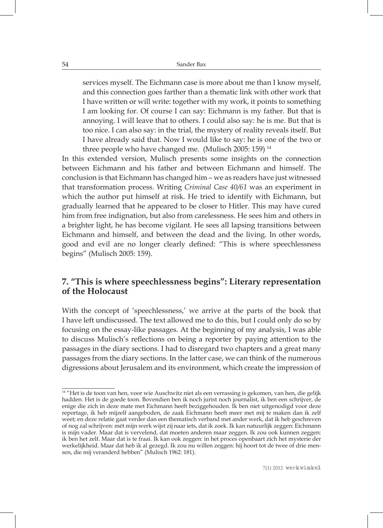services myself. The Eichmann case is more about me than I know myself, and this connection goes farther than a thematic link with other work that I have written or will write: together with my work, it points to something I am looking for. Of course I can say: Eichmann is my father. But that is annoying. I will leave that to others. I could also say: he is me. But that is too nice. I can also say: in the trial, the mystery of reality reveals itself. But I have already said that. Now I would like to say: he is one of the two or three people who have changed me. (Mulisch 2005: 159)<sup>14</sup>

In this extended version, Mulisch presents some insights on the connection between Eichmann and his father and between Eichmann and himself. The conclusion is that Eichmann has changed him – we as readers have just witnessed that transformation process. Writing *Criminal Case 40/61* was an experiment in which the author put himself at risk. He tried to identify with Eichmann, but gradually learned that he appeared to be closer to Hitler. This may have cured him from free indignation, but also from carelessness. He sees him and others in a brighter light, he has become vigilant. He sees all lapsing transitions between Eichmann and himself, and between the dead and the living. In other words, good and evil are no longer clearly defined: "This is where speechlessness begins" (Mulisch 2005: 159).

# **7. "This is where speechlessness begins": Literary representation of the Holocaust**

With the concept of 'speechlessness,' we arrive at the parts of the book that I have left undiscussed. The text allowed me to do this, but I could only do so by focusing on the essay-like passages. At the beginning of my analysis, I was able to discuss Mulisch's reflections on being a reporter by paying attention to the passages in the diary sections. I had to disregard two chapters and a great many passages from the diary sections. In the latter case, we can think of the numerous digressions about Jerusalem and its environment, which create the impression of

<sup>&</sup>lt;sup>14</sup> "Het is de toon van hen, voor wie Auschwitz niet als een verrassing is gekomen, van hen, die gelijk hadden. Het is de goede toon. Bovendien ben ik noch jurist noch journalist, ik ben een schrijver, de enige die zich in deze mate met Eichmann heeft beziggehouden. Ik ben niet uitgenodigd voor deze reportage, ik heb mijzelf aangeboden, de zaak Eichmann heeft meer met mij te maken dan ik zelf weet; en deze relatie gaat verder dan een thematisch verband met ander werk, dat ik heb geschreven of nog zal schrijven: mét mijn werk wijst zij naar iets, dat ik zoek. Ik kan natuurlijk zeggen: Eichmann is mijn vader. Maar dat is vervelend, dat moeten anderen maar zeggen. Ik zou ook kunnen zeggen: ik ben het zelf. Maar dat is te fraai. Ik kan ook zeggen: in het proces openbaart zich het mysterie der werkelijkheid. Maar dat heb ik al gezegd. Ik zou nu willen zeggen: hij hoort tot de twee of drie mensen, die mij veranderd hebben" (Mulisch 1962: 181).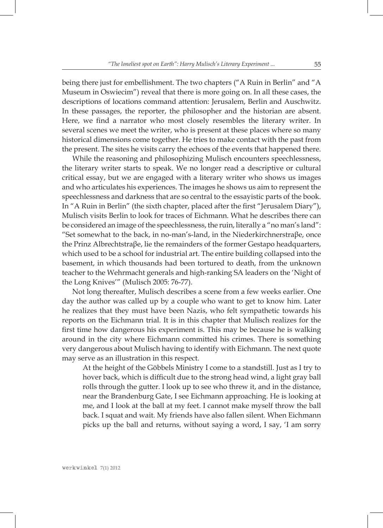being there just for embellishment. The two chapters ("A Ruin in Berlin" and "A Museum in Oswiecim") reveal that there is more going on. In all these cases, the descriptions of locations command attention: Jerusalem, Berlin and Auschwitz. In these passages, the reporter, the philosopher and the historian are absent. Here, we find a narrator who most closely resembles the literary writer. In several scenes we meet the writer, who is present at these places where so many historical dimensions come together. He tries to make contact with the past from the present. The sites he visits carry the echoes of the events that happened there.

While the reasoning and philosophizing Mulisch encounters speechlessness, the literary writer starts to speak. We no longer read a descriptive or cultural critical essay, but we are engaged with a literary writer who shows us images and who articulates his experiences. The images he shows us aim to represent the speechlessness and darkness that are so central to the essayistic parts of the book. In "A Ruin in Berlin" (the sixth chapter, placed after the first "Jerusalem Diary"), Mulisch visits Berlin to look for traces of Eichmann. What he describes there can be considered an image of the speechlessness, the ruin, literally a "no man's land": "Set somewhat to the back, in no-man's-land, in the Niederkirchnerstra $\beta$ e, once the Prinz Albrechtstraβe, lie the remainders of the former Gestapo headquarters, which used to be a school for industrial art. The entire building collapsed into the basement, in which thousands had been tortured to death, from the unknown teacher to the Wehrmacht generals and high-ranking SA leaders on the 'Night of the Long Knives'" (Mulisch 2005: 76-77).

Not long thereafter, Mulisch describes a scene from a few weeks earlier. One day the author was called up by a couple who want to get to know him. Later he realizes that they must have been Nazis, who felt sympathetic towards his reports on the Eichmann trial. It is in this chapter that Mulisch realizes for the first time how dangerous his experiment is. This may be because he is walking around in the city where Eichmann committed his crimes. There is something very dangerous about Mulisch having to identify with Eichmann. The next quote may serve as an illustration in this respect.

At the height of the Göbbels Ministry I come to a standstill. Just as I try to hover back, which is difficult due to the strong head wind, a light gray ball rolls through the gutter. I look up to see who threw it, and in the distance, near the Brandenburg Gate, I see Eichmann approaching. He is looking at me, and I look at the ball at my feet. I cannot make myself throw the ball back. I squat and wait. My friends have also fallen silent. When Eichmann picks up the ball and returns, without saying a word, I say, 'I am sorry

werkwinkel **7(1) 2012**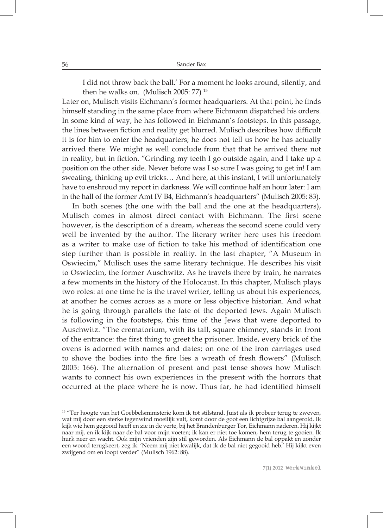I did not throw back the ball.' For a moment he looks around, silently, and then he walks on. (Mulisch 2005: 77) 15

Later on, Mulisch visits Eichmann's former headquarters. At that point, he finds himself standing in the same place from where Eichmann dispatched his orders. In some kind of way, he has followed in Eichmann's footsteps. In this passage, the lines between fiction and reality get blurred. Mulisch describes how difficult it is for him to enter the headquarters; he does not tell us how he has actually arrived there. We might as well conclude from that that he arrived there not in reality, but in fiction. "Grinding my teeth I go outside again, and I take up a position on the other side. Never before was I so sure I was going to get in! I am sweating, thinking up evil tricks… And here, at this instant, I will unfortunately have to enshroud my report in darkness. We will continue half an hour later: I am in the hall of the former Amt IV B4, Eichmann's headquarters" (Mulisch 2005: 83).

In both scenes (the one with the ball and the one at the headquarters), Mulisch comes in almost direct contact with Eichmann. The first scene however, is the description of a dream, whereas the second scene could very well be invented by the author. The literary writer here uses his freedom as a writer to make use of fiction to take his method of identification one step further than is possible in reality. In the last chapter, "A Museum in Oswiecim," Mulisch uses the same literary technique. He describes his visit to Oswiecim, the former Auschwitz. As he travels there by train, he narrates a few moments in the history of the Holocaust. In this chapter, Mulisch plays two roles: at one time he is the travel writer, telling us about his experiences, at another he comes across as a more or less objective historian. And what he is going through parallels the fate of the deported Jews. Again Mulisch is following in the footsteps, this time of the Jews that were deported to Auschwitz. "The crematorium, with its tall, square chimney, stands in front of the entrance: the first thing to greet the prisoner. Inside, every brick of the ovens is adorned with names and dates; on one of the iron carriages used to shove the bodies into the fire lies a wreath of fresh flowers" (Mulisch 2005: 166). The alternation of present and past tense shows how Mulisch wants to connect his own experiences in the present with the horrors that occurred at the place where he is now. Thus far, he had identified himself

<sup>&</sup>lt;sup>15</sup> "Ter hoogte van het Goebbelsministerie kom ik tot stilstand. Juist als ik probeer terug te zweven, wat mij door een sterke tegenwind moeilijk valt, komt door de goot een lichtgrijze bal aangerold. Ik kijk wie hem gegooid heeft en zie in de verte, bij het Brandenburger Tor, Eichmann naderen. Hij kijkt naar mij, en ik kijk naar de bal voor mijn voeten; ik kan er niet toe komen, hem terug te gooien. Ik hurk neer en wacht. Ook mijn vrienden zijn stil geworden. Als Eichmann de bal oppakt en zonder een woord terugkeert, zeg ik: 'Neem mij niet kwalijk, dat ik de bal niet gegooid heb.' Hij kijkt even zwijgend om en loopt verder" (Mulisch 1962: 88).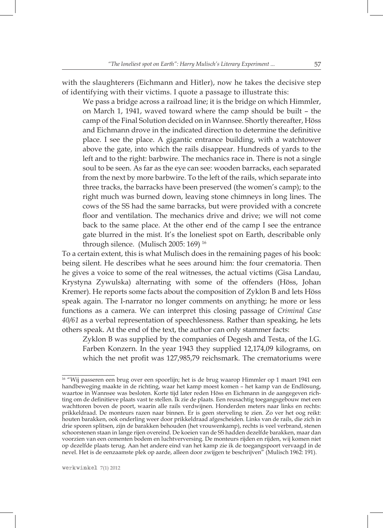with the slaughterers (Eichmann and Hitler), now he takes the decisive step of identifying with their victims. I quote a passage to illustrate this:

We pass a bridge across a railroad line; it is the bridge on which Himmler, on March 1, 1941, waved toward where the camp should be built – the camp of the Final Solution decided on in Wannsee. Shortly thereafter, Höss and Eichmann drove in the indicated direction to determine the definitive place. I see the place. A gigantic entrance building, with a watchtower above the gate, into which the rails disappear. Hundreds of yards to the left and to the right: barbwire. The mechanics race in. There is not a single soul to be seen. As far as the eye can see: wooden barracks, each separated from the next by more barbwire. To the left of the rails, which separate into three tracks, the barracks have been preserved (the women's camp); to the right much was burned down, leaving stone chimneys in long lines. The cows of the SS had the same barracks, but were provided with a concrete floor and ventilation. The mechanics drive and drive; we will not come back to the same place. At the other end of the camp I see the entrance gate blurred in the mist. It's the loneliest spot on Earth, describable only through silence. (Mulisch 2005: 169) 16

To a certain extent, this is what Mulisch does in the remaining pages of his book: being silent. He describes what he sees around him: the four crematoria. Then he gives a voice to some of the real witnesses, the actual victims (Gisa Landau, Krystyna Zywulska) alternating with some of the offenders (Höss, Johan Kremer). He reports some facts about the composition of Zyklon B and lets Höss speak again. The I-narrator no longer comments on anything; he more or less functions as a camera. We can interpret this closing passage of *Criminal Case 40/61* as a verbal representation of speechlessness. Rather than speaking, he lets others speak. At the end of the text, the author can only stammer facts:

Zyklon B was supplied by the companies of Degesh and Testa, of the I.G. Farben Konzern. In the year 1943 they supplied 12,174,09 kilograms, on which the net profit was 127,985,79 reichsmark. The crematoriums were

<sup>&</sup>lt;sup>16</sup> "Wij passeren een brug over een spoorlijn; het is de brug waarop Himmler op 1 maart 1941 een handbeweging maakte in de richting, waar het kamp moest komen – het kamp van de Endlösung, waartoe in Wannsee was besloten. Korte tijd later reden Höss en Eichmann in de aangegeven richting om de definitieve plaats vast te stellen. Ik zie de plaats. Een reusachtig toegangsgebouw met een wachttoren boven de poort, waarin alle rails verdwijnen. Honderden meters naar links en rechts: prikkeldraad. De monteurs razen naar binnen. Er is geen sterveling te zien. Zo ver het oog reikt: houten barakken, ook onderling weer door prikkeldraad afgescheiden. Links van de rails, die zich in drie sporen splitsen, zijn de barakken behouden (het vrouwenkamp), rechts is veel verbrand, stenen schoorstenen staan in lange rijen overeind. De koeien van de SS hadden dezelfde barakken, maar dan voorzien van een cementen bodem en luchtverversing. De monteurs rijden en rijden, wij komen niet op dezelfde plaats terug. Aan het andere eind van het kamp zie ik de toegangspoort vervaagd in de nevel. Het is de eenzaamste plek op aarde, alleen door zwijgen te beschrijven" (Mulisch 1962: 191).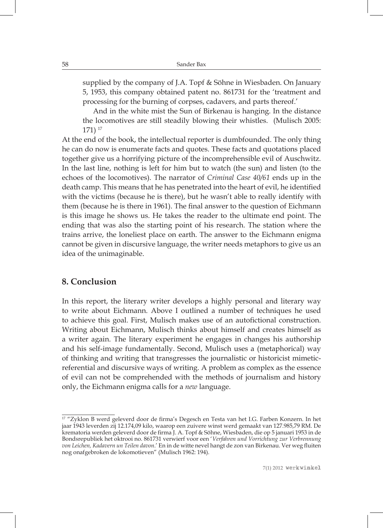supplied by the company of J.A. Topf & Söhne in Wiesbaden. On January 5, 1953, this company obtained patent no. 861731 for the 'treatment and processing for the burning of corpses, cadavers, and parts thereof.'

And in the white mist the Sun of Birkenau is hanging. In the distance the locomotives are still steadily blowing their whistles. (Mulisch 2005: 171) 17

At the end of the book, the intellectual reporter is dumbfounded. The only thing he can do now is enumerate facts and quotes. These facts and quotations placed together give us a horrifying picture of the incomprehensible evil of Auschwitz. In the last line, nothing is left for him but to watch (the sun) and listen (to the echoes of the locomotives). The narrator of *Criminal Case 40/61* ends up in the death camp. This means that he has penetrated into the heart of evil, he identified with the victims (because he is there), but he wasn't able to really identify with them (because he is there in 1961). The final answer to the question of Eichmann is this image he shows us. He takes the reader to the ultimate end point. The ending that was also the starting point of his research. The station where the trains arrive, the loneliest place on earth. The answer to the Eichmann enigma cannot be given in discursive language, the writer needs metaphors to give us an idea of the unimaginable.

#### **8. Conclusion**

In this report, the literary writer develops a highly personal and literary way to write about Eichmann. Above I outlined a number of techniques he used to achieve this goal. First, Mulisch makes use of an autofictional construction. Writing about Eichmann, Mulisch thinks about himself and creates himself as a writer again. The literary experiment he engages in changes his authorship and his self-image fundamentally. Second, Mulisch uses a (metaphorical) way of thinking and writing that transgresses the journalistic or historicist mimeticreferential and discursive ways of writing. A problem as complex as the essence of evil can not be comprehended with the methods of journalism and history only, the Eichmann enigma calls for a *new* language.

<sup>&</sup>lt;sup>17</sup> "Zyklon B werd geleverd door de firma's Degesch en Testa van het I.G. Farben Konzern. In het jaar 1943 leverden zij 12.174,09 kilo, waarop een zuivere winst werd gemaakt van 127.985,79 RM. De krematoria werden geleverd door de firma J. A. Topf & Söhne, Wiesbaden, die op 5 januari 1953 in de Bondsrepubliek het oktrooi no. 861731 verwierf voor een '*Verfahren und Vorrichtung zur Verbrennung von Leichen, Kadavern un Teilen davon*.' En in de witte nevel hangt de zon van Birkenau. Ver weg fluiten nog onafgebroken de lokomotieven" (Mulisch 1962: 194).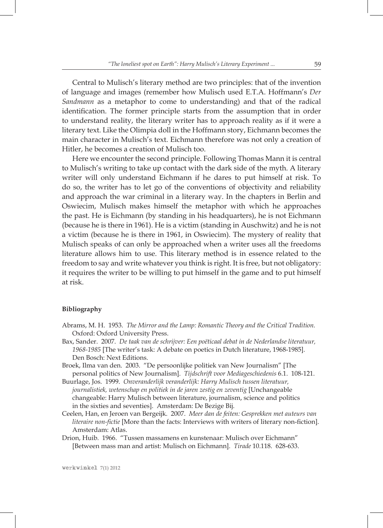Central to Mulisch's literary method are two principles: that of the invention of language and images (remember how Mulisch used E.T.A. Hoffmann's *Der Sandmann* as a metaphor to come to understanding) and that of the radical identification. The former principle starts from the assumption that in order to understand reality, the literary writer has to approach reality as if it were a literary text. Like the Olimpia doll in the Hoffmann story, Eichmann becomes the main character in Mulisch's text. Eichmann therefore was not only a creation of Hitler, he becomes a creation of Mulisch too.

Here we encounter the second principle. Following Thomas Mann it is central to Mulisch's writing to take up contact with the dark side of the myth. A literary writer will only understand Eichmann if he dares to put himself at risk. To do so, the writer has to let go of the conventions of objectivity and reliability and approach the war criminal in a literary way. In the chapters in Berlin and Oswiecim, Mulisch makes himself the metaphor with which he approaches the past. He is Eichmann (by standing in his headquarters), he is not Eichmann (because he is there in 1961). He is a victim (standing in Auschwitz) and he is not a victim (because he is there in 1961, in Oswiecim). The mystery of reality that Mulisch speaks of can only be approached when a writer uses all the freedoms literature allows him to use. This literary method is in essence related to the freedom to say and write whatever you think is right. It is free, but not obligatory: it requires the writer to be willing to put himself in the game and to put himself at risk.

#### **Bibliography**

- Abrams, M. H. 1953. *The Mirror and the Lamp: Romantic Theory and the Critical Tradition.* Oxford: Oxford University Press.
- Bax, Sander. 2007. *De taak van de schrijver: Een poëticaal debat in de Nederlandse literatuur, 1968-1985* [The writer's task: A debate on poetics in Dutch literature, 1968-1985]. Den Bosch: Next Editions.
- Broek, Ilma van den. 2003. "De persoonlijke politiek van New Journalism" [The personal politics of New Journalism]. *Tijdschrift voor Mediageschiedenis* 6.1. 108-121.
- Buurlage, Jos. 1999. *Onveranderlijk veranderlijk: Harry Mulisch tussen literatuur, journalistiek, wetenschap en politiek in de jaren zestig en zeventig* [Unchangeable changeable: Harry Mulisch between literature, journalism, science and politics in the sixties and seventies]. Amsterdam: De Bezige Bij.
- Ceelen, Han, en Jeroen van Bergeijk. 2007. *Meer dan de feiten: Gesprekken met auteurs van literaire non-fictie* [More than the facts: Interviews with writers of literary non-fiction]. Amsterdam: Atlas.
- Drion, Huib. 1966. "Tussen massamens en kunstenaar: Mulisch over Eichmann" [Between mass man and artist: Mulisch on Eichmann]. *Tirade* 10.118. 628-633.